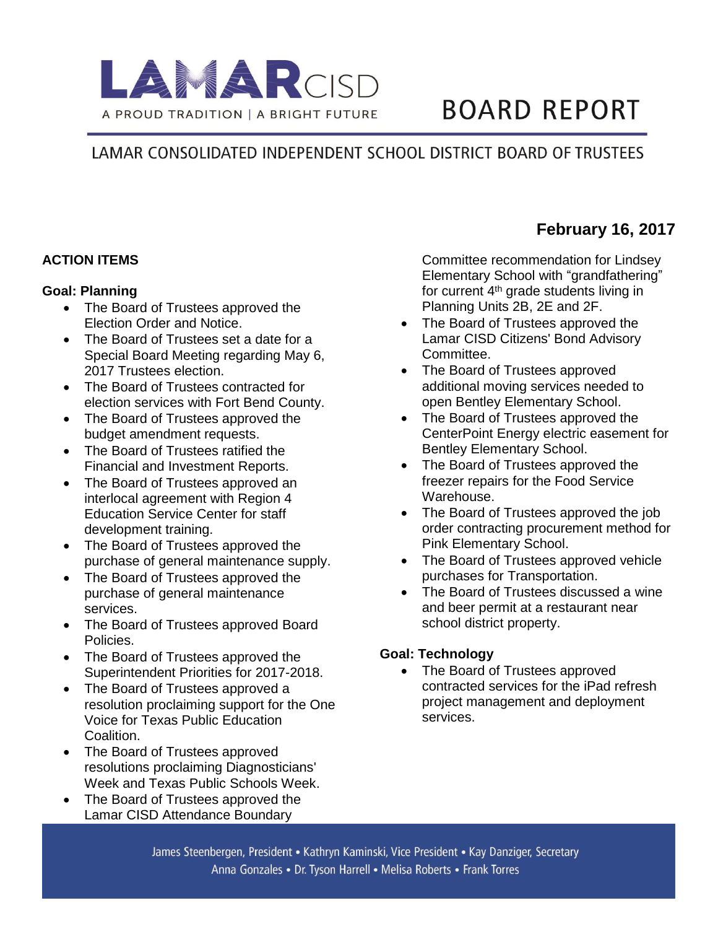

# **BOARD REPORT**

## LAMAR CONSOLIDATED INDEPENDENT SCHOOL DISTRICT BOARD OF TRUSTEES

#### **ACTION ITEMS**

#### **Goal: Planning**

- The Board of Trustees approved the Election Order and Notice.
- The Board of Trustees set a date for a Special Board Meeting regarding May 6, 2017 Trustees election.
- The Board of Trustees contracted for election services with Fort Bend County.
- The Board of Trustees approved the budget amendment requests.
- The Board of Trustees ratified the Financial and Investment Reports.
- The Board of Trustees approved an interlocal agreement with Region 4 Education Service Center for staff development training.
- The Board of Trustees approved the purchase of general maintenance supply.
- The Board of Trustees approved the purchase of general maintenance services.
- The Board of Trustees approved Board Policies.
- The Board of Trustees approved the Superintendent Priorities for 2017-2018.
- The Board of Trustees approved a resolution proclaiming support for the One Voice for Texas Public Education Coalition.
- The Board of Trustees approved resolutions proclaiming Diagnosticians' Week and Texas Public Schools Week.
- The Board of Trustees approved the Lamar CISD Attendance Boundary

Committee recommendation for Lindsey Elementary School with "grandfathering" for current 4th grade students living in Planning Units 2B, 2E and 2F.

- The Board of Trustees approved the Lamar CISD Citizens' Bond Advisory Committee.
- The Board of Trustees approved additional moving services needed to open Bentley Elementary School.
- The Board of Trustees approved the CenterPoint Energy electric easement for Bentley Elementary School.
- The Board of Trustees approved the freezer repairs for the Food Service Warehouse.
- The Board of Trustees approved the job order contracting procurement method for Pink Elementary School.
- The Board of Trustees approved vehicle purchases for Transportation.
- The Board of Trustees discussed a wine and beer permit at a restaurant near school district property.

### **Goal: Technology**

• The Board of Trustees approved contracted services for the iPad refresh project management and deployment services.

## **February 16, 2017**